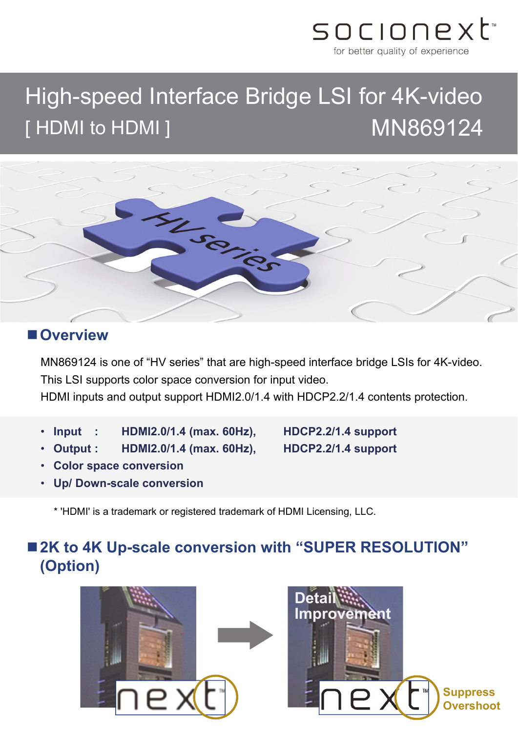

# High-speed Interface Bridge LSI for 4K-video [HDMI to HDMI ] MN869124



#### **Overview**

MN869124 is one of "HV series" that are high-speed interface bridge LSIs for 4K-video. This LSI supports color space conversion for input video.

HDMI inputs and output support HDMI2.0/1.4 with HDCP2.2/1.4 contents protection.

- **Input : HDMI2.0/1.4 (max. 60Hz), HDCP2.2/1.4 support**
- **Output : HDMI2.0/1.4 (max. 60Hz), HDCP2.2/1.4 support**

- **Color space conversion**
- **Up/ Down-scale conversion**

\* 'HDMI' is a trademark or registered trademark of HDMI Licensing, LLC.

# ■ 2K to 4K Up-scale conversion with "SUPER RESOLUTION" **(Option)**